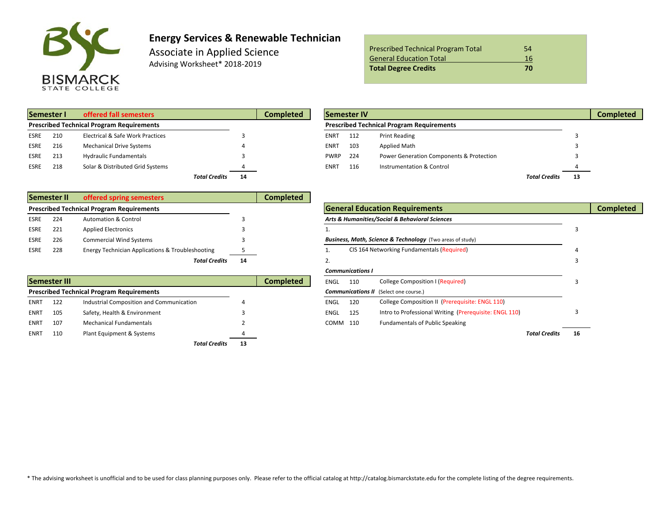

# **Energy Services & Renewable Technician**

Associate in Applied Science Advising Worksheet\* 2018-2019

| <b>Prescribed Technical Program Total</b> | 54 |
|-------------------------------------------|----|
| <b>General Education Total</b>            | 16 |
| <b>Total Degree Credits</b>               | 70 |

| Semester I                                       |     | offered fall semesters           | Completed                  |  | <b>Semester IV</b> |     |                                                  |                      |     |  |
|--------------------------------------------------|-----|----------------------------------|----------------------------|--|--------------------|-----|--------------------------------------------------|----------------------|-----|--|
| <b>Prescribed Technical Program Requirements</b> |     |                                  |                            |  |                    |     | <b>Prescribed Technical Program Requirements</b> |                      |     |  |
| <b>ESRE</b>                                      | 210 | Electrical & Safe Work Practices |                            |  | <b>ENRT</b>        | 112 | <b>Print Reading</b>                             |                      |     |  |
| ESRE                                             | 216 | <b>Mechanical Drive Systems</b>  |                            |  | <b>ENRT</b>        | 103 | <b>Applied Math</b>                              |                      |     |  |
| <b>ESRE</b>                                      | 213 | <b>Hydraulic Fundamentals</b>    |                            |  | <b>PWRP</b>        | 224 | Power Generation Components & Protection         |                      |     |  |
| ESRE                                             | 218 | Solar & Distributed Grid Systems |                            |  | <b>ENRT</b>        | 116 | Instrumentation & Control                        |                      |     |  |
|                                                  |     |                                  | <b>Total Credits</b><br>14 |  |                    |     |                                                  | <b>Total Credits</b> | -13 |  |

|      | Semester I                                       | offered fall semesters           |    | <b>Completed</b> |                                                  | <b>Semester IV</b> |                                          |                      |               | <b>Completed</b> |
|------|--------------------------------------------------|----------------------------------|----|------------------|--------------------------------------------------|--------------------|------------------------------------------|----------------------|---------------|------------------|
|      | <b>Prescribed Technical Program Requirements</b> |                                  |    |                  | <b>Prescribed Technical Program Requirements</b> |                    |                                          |                      |               |                  |
| ESRE | 210                                              | Electrical & Safe Work Practices |    |                  | ENR1                                             | 112                | <b>Print Reading</b>                     |                      |               |                  |
| ESRE | 216                                              | <b>Mechanical Drive Systems</b>  |    |                  | ENRT                                             | 103                | <b>Applied Math</b>                      |                      |               |                  |
| ESRE | 213                                              | <b>Hydraulic Fundamentals</b>    |    |                  | <b>PWRP</b>                                      | 224                | Power Generation Components & Protection |                      |               |                  |
| ESRE | 218                                              | Solar & Distributed Grid Systems |    |                  | ENR1                                             | 116                | Instrumentation & Control                |                      | $\frac{4}{1}$ |                  |
|      |                                                  | <b>Total Credits</b>             | 14 |                  |                                                  |                    |                                          | <b>Total Credits</b> | 13            |                  |

|      | Semester II | offered spring semesters                         |    | Completed |                                                                      |  |
|------|-------------|--------------------------------------------------|----|-----------|----------------------------------------------------------------------|--|
|      |             | <b>Prescribed Technical Program Requirements</b> |    |           | <b>General Education Requirements</b>                                |  |
| ESRE | 224         | <b>Automation &amp; Control</b>                  |    |           | Arts & Humanities/Social & Behavioral Sciences                       |  |
| ESRE | 221         | <b>Applied Electronics</b>                       |    |           |                                                                      |  |
| ESRE | 226         | <b>Commercial Wind Systems</b>                   |    |           | <b>Business, Math, Science &amp; Technology</b> (Two areas of study) |  |
| ESRE | 228         | Energy Technician Applications & Troubleshooting |    |           | CIS 164 Networking Fundamentals (Required)                           |  |
|      |             | <b>Total Credits</b>                             | 14 |           |                                                                      |  |

|             | <b>Semester III</b> |                                                  |    | <b>Completed</b> | ENGL     | 110 | College Composition I (Required)                       |     |  |
|-------------|---------------------|--------------------------------------------------|----|------------------|----------|-----|--------------------------------------------------------|-----|--|
|             |                     | <b>Prescribed Technical Program Requirements</b> |    |                  |          |     | <b>Communications II</b> (Select one course.)          |     |  |
| <b>ENRT</b> | 122                 | Industrial Composition and Communication         |    |                  | ENGL     | 120 | College Composition II (Prerequisite: ENGL 110)        |     |  |
| <b>ENRT</b> | 105                 | Safety, Health & Environment                     |    |                  | ENGL     | 125 | Intro to Professional Writing (Prerequisite: ENGL 110) |     |  |
| <b>ENRT</b> | 107                 | <b>Mechanical Fundamentals</b>                   |    |                  | COMM 110 |     | <b>Fundamentals of Public Speaking</b>                 |     |  |
| <b>ENRT</b> | 110                 | Plant Equipment & Systems                        |    |                  |          |     | <b>Total Credits</b>                                   | -16 |  |
|             |                     | <b>Total Credits</b>                             | 13 |                  |          |     |                                                        |     |  |

|      |              | <b>Prescribed Technical Program Requirements</b>            |    |                  |             |                                                | <b>General Education Requirements</b>                                |                      |    | <b>Completed</b> |
|------|--------------|-------------------------------------------------------------|----|------------------|-------------|------------------------------------------------|----------------------------------------------------------------------|----------------------|----|------------------|
| ESRE | 224          | <b>Automation &amp; Control</b>                             |    |                  |             | Arts & Humanities/Social & Behavioral Sciences |                                                                      |                      |    |                  |
| ESRE | 221          | <b>Applied Electronics</b>                                  |    |                  |             |                                                |                                                                      |                      |    |                  |
| ESRE | 226          | <b>Commercial Wind Systems</b>                              |    |                  |             |                                                | <b>Business, Math, Science &amp; Technology</b> (Two areas of study) |                      |    |                  |
| ESRE | 228          | <b>Energy Technician Applications &amp; Troubleshooting</b> |    |                  |             |                                                | CIS 164 Networking Fundamentals (Required)                           |                      |    |                  |
|      |              | <b>Total Credits</b>                                        | 14 |                  | z.          |                                                |                                                                      |                      |    |                  |
|      |              |                                                             |    |                  |             | <b>Communications I</b>                        |                                                                      |                      |    |                  |
|      | Semester III |                                                             |    | <b>Completed</b> | ENGL        | 110                                            | <b>College Composition I (Required)</b>                              |                      |    |                  |
|      |              | <b>Prescribed Technical Program Requirements</b>            |    |                  |             |                                                | <b>Communications II</b> (Select one course.)                        |                      |    |                  |
| ENRT | 122          | Industrial Composition and Communication                    |    |                  | <b>ENGL</b> | 120                                            | College Composition II (Prerequisite: ENGL 110)                      |                      |    |                  |
| ENRT | 105          | Safety, Health & Environment                                |    |                  | <b>ENGL</b> | 125                                            | Intro to Professional Writing (Prerequisite: ENGL 110)               |                      |    |                  |
| ENRT | 107          | <b>Mechanical Fundamentals</b>                              |    |                  | COMM 110    |                                                | <b>Fundamentals of Public Speaking</b>                               |                      |    |                  |
| ENRT | 110          | Plant Equipment & Systems                                   |    |                  |             |                                                |                                                                      | <b>Total Credits</b> | 16 |                  |
|      |              |                                                             |    |                  |             |                                                |                                                                      |                      |    |                  |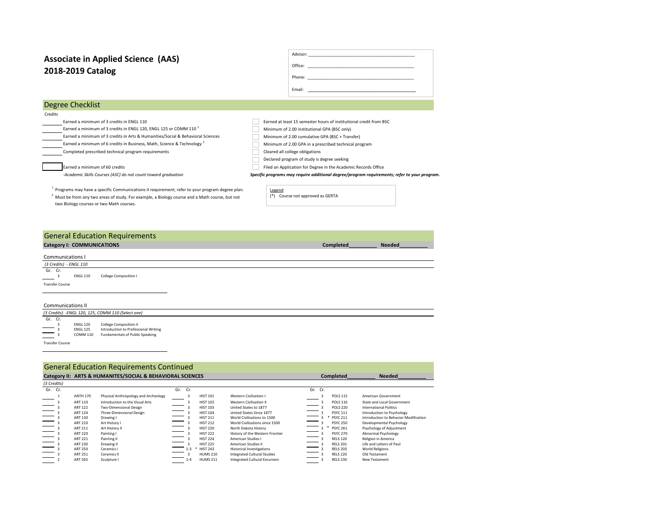# **2018-2019 Catalog Associate in Applied Science (AAS)**

| Office: | <u> 1980 - Jan Amerikaans III (m. 1980)</u>         |  |  |  |
|---------|-----------------------------------------------------|--|--|--|
| Phone:  | <u> 1980 - Andrea Andrews, amerikansk politik (</u> |  |  |  |
| Fmail:  |                                                     |  |  |  |

## Degree Checklist

Credits

- 
- Earned a minimum of 3 credits in ENGL 110 Earned at least 15 semester hours of institutional credit from BSC<br>Earned a minimum of 3 credits in ENGL 120, ENGL 125 or COMM 110<sup>1</sup> Minimum of 2.00 institutional GPA (BSC only) Earned a minimum of 3 credits in ENGL 120, ENGL 125 or COMM 110 $^1$
- Earned a minimum of 3 credits in Arts & Humanities/Social & Behavioral Sciences Minimum of 2.00 cumulative GPA (BSC + Transfer) Earned a minimum of 6 credits in Business, Math, Science & Technology <sup>2</sup> Minimum of 2.00 GPA in a prescribed technical program
- Completed prescribed technical program requirements Cleared all college obligations

■<br>| Earned a minimum of 60 credits Filed an Application for Degree in the Academic Records Office

*-Academic Skills Courses (ASC) do not count toward graduation Specific programs may require additional degree/program requirements; refer to your program.* 

 $1$  Programs may have a specific Communications II requirement; refer to your program degree plan.  $2$  Must be from any two areas of study. For example, a Biology course and a Math course, but not two Biology courses or two Math courses.

<u>Legend</u><br>(\*) Course not approved as GERTA

Declared program of study is degree seeking

#### **Category I: COMMUNICATIONS Completed\_\_\_\_\_\_\_\_\_\_ Needed\_\_\_\_\_\_\_\_\_\_** General Education Requirements

Communications I  *(3 Credits) - ENGL 110*  Gr. Cr. ENGL 110 College Composition I Transfer Course

#### Communications II

*(3 Credits) -ENGL 120, 125, COMM 110 (Select one)*  Gr.  $Cr.$ ENGL 120 College Composition II<br>ENGL 125 Introduction to Profess 3 ENGL 125 Introduction to Professional Writing<br>3 COMM 110 Fundamentals of Public Speaking COMM 110 Fundamentals of Public Speaking Transfer Course

#### General Education Requirements Continued

|                                           |                 | Category II: ARTS & HUMANITES/SOCIAL & BEHAVIORAL SCIENCES |                          |         |                 |                                    | Completed            | <b>Needed</b>                         |
|-------------------------------------------|-----------------|------------------------------------------------------------|--------------------------|---------|-----------------|------------------------------------|----------------------|---------------------------------------|
| (3 Credits)                               |                 |                                                            |                          |         |                 |                                    |                      |                                       |
| Gr. Cr.                                   |                 |                                                            |                          | Gr. Cr. |                 |                                    | Gr. Cr.              |                                       |
|                                           | <b>ANTH 170</b> | Physical Anthropology and Archeology                       |                          |         | <b>HIST 101</b> | Western Civilization I             | <b>POLS 115</b>      | American Government                   |
|                                           | ART 110         | Introduction to the Visual Arts                            |                          |         | <b>HIST 102</b> | <b>Western Civilization II</b>     | <b>POLS 116</b>      | State and Local Government            |
| $\overline{\phantom{0}}$                  | ART 122         | Two-Dimensional Design                                     |                          |         | <b>HIST 103</b> | United States to 1877              | <b>POLS 220</b>      | <b>International Politics</b>         |
|                                           | ART 124         | Three-Dimensional Design                                   | $\sim$                   |         | <b>HIST 104</b> | United States Since 1877           | <b>PSYC 111</b>      | Introduction to Psychology            |
|                                           | ART 130         | Drawing I                                                  | $\overline{\phantom{0}}$ |         | <b>HIST 211</b> | World Civilizations to 1500        | <b>PSYC 211</b><br>* | Introduction to Behavior Modification |
| $\overline{\phantom{a}}$                  | ART 210         | Art History I                                              |                          |         | <b>HIST 212</b> | World Civilizations since 1500     | <b>PSYC 250</b>      | Developmental Psychology              |
| $\equiv \frac{1}{3}$                      | ART 211         | Art History II                                             | $\equiv$                 |         | <b>HIST 220</b> | North Dakota History               | <b>PSYC 261</b>      | Psychology of Adjustment              |
|                                           | <b>ART 220</b>  | Painting I                                                 |                          |         | <b>HIST 222</b> | History of the Western Frontier    | <b>PSYC 270</b>      | Abnormal Psychology                   |
|                                           | <b>ART 221</b>  | Painting II                                                |                          |         | <b>HIST 224</b> | American Studies I                 | <b>RELS 120</b>      | Religion in America                   |
| $\sim$                                    | <b>ART 230</b>  | Drawing II                                                 |                          |         | <b>HIST 225</b> | American Studies II                | <b>RELS 201</b>      | Life and Letters of Paul              |
| $\qquad \qquad \overline{\qquad \qquad }$ | <b>ART 250</b>  | Ceramics I                                                 |                          | $1 - 3$ | <b>HIST 243</b> | <b>Historical Investigations</b>   | <b>RELS 203</b>      | <b>World Religions</b>                |
|                                           | ART 251         | Ceramics II                                                |                          |         | <b>HUMS 210</b> | <b>Integrated Cultural Studies</b> | <b>RELS 220</b>      | Old Testament                         |
|                                           | <b>ART 265</b>  | Sculpture I                                                |                          | $1 - 4$ | <b>HUMS 211</b> | Integrated Cultural Excursion      | <b>RELS 230</b>      | New Testament                         |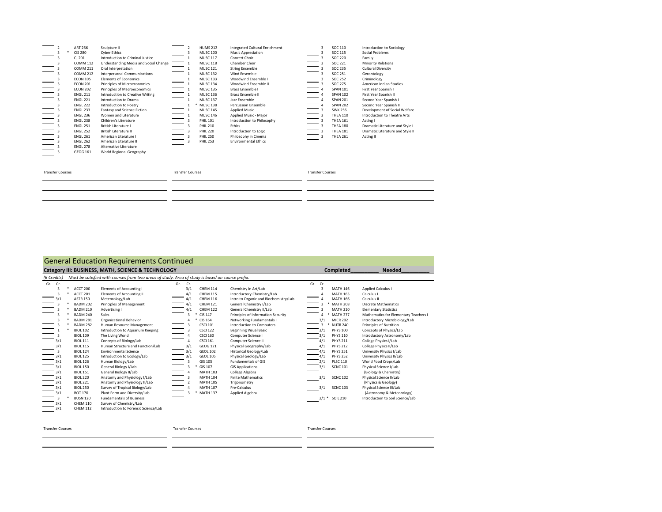|                         | ART 266<br><b>CIS 280</b><br>CJ 201<br><b>COMM 112</b><br><b>COMM 211</b><br><b>COMM 212</b><br><b>ECON 105</b><br><b>ECON 201</b><br><b>ECON 202</b><br><b>ENGL 211</b><br><b>ENGL 221</b><br><b>ENGL 222</b><br><b>ENGL 233</b><br><b>ENGL 236</b><br><b>ENGL 238</b> | Sculpture II<br><b>Cyber Ethics</b><br>Introduction to Criminal Justice<br>Understanding Media and Social Change<br>Oral Interpretation<br>Interpersonal Communications<br><b>Elements of Economics</b><br>Principles of Microeconomics<br>Principles of Macroeconomics<br>Introduction to Creative Writing<br>Introduction to Drama<br>Introduction to Poetry<br>Fantasy and Science Fiction<br>Women and Literature<br>Children's Literature |                         | <b>HUMS 212</b><br><b>MUSC 100</b><br><b>MUSC 117</b><br><b>MUSC 118</b><br><b>MUSC 121</b><br><b>MUSC 132</b><br><b>MUSC 133</b><br><b>MUSC 134</b><br><b>MUSC 135</b><br><b>MUSC 136</b><br><b>MUSC 137</b><br><b>MUSC 138</b><br><b>MUSC 145</b><br><b>MUSC 146</b><br><b>PHIL 101</b> | Integrated Cultural Enrichment<br><b>Music Appreciation</b><br>Concert Choir<br>Chamber Choir<br><b>String Ensemble</b><br>Wind Fnsemble<br>Woodwind Ensemble I<br>Woodwind Ensemble II<br>Brass Ensemble I<br>Brass Ensemble II<br>Jazz Ensemble<br><b>Percussion Ensemble</b><br><b>Applied Music</b><br>Applied Music - Major<br>Introduction to Philosophy | 3                       | SOC 110<br>SOC 115<br>SOC 220<br>SOC 221<br>SOC 235<br>SOC 251<br><b>SOC 252</b><br><b>SOC 275</b><br><b>SPAN 101</b><br><b>SPAN 102</b><br><b>SPAN 201</b><br><b>SPAN 202</b><br><b>SWK 256</b><br><b>THEA 110</b><br><b>THEA 161</b> | Introduction to Sociology<br>Social Problems<br>Family<br><b>Minority Relations</b><br><b>Cultural Diversity</b><br>Gerontology<br>Criminology<br>American Indian Studies<br>First Year Spanish I<br>First Year Spanish II<br>Second Year Spanish I<br>Second Year Spanish II<br>Development of Social Welfare<br>Introduction to Theatre Arts<br>Acting I |
|-------------------------|-------------------------------------------------------------------------------------------------------------------------------------------------------------------------------------------------------------------------------------------------------------------------|------------------------------------------------------------------------------------------------------------------------------------------------------------------------------------------------------------------------------------------------------------------------------------------------------------------------------------------------------------------------------------------------------------------------------------------------|-------------------------|-------------------------------------------------------------------------------------------------------------------------------------------------------------------------------------------------------------------------------------------------------------------------------------------|----------------------------------------------------------------------------------------------------------------------------------------------------------------------------------------------------------------------------------------------------------------------------------------------------------------------------------------------------------------|-------------------------|----------------------------------------------------------------------------------------------------------------------------------------------------------------------------------------------------------------------------------------|------------------------------------------------------------------------------------------------------------------------------------------------------------------------------------------------------------------------------------------------------------------------------------------------------------------------------------------------------------|
| <b>Transfer Courses</b> | <b>ENGL 251</b><br><b>ENGL 252</b><br><b>ENGL 261</b><br><b>ENGL 262</b><br><b>ENGL 278</b><br>GEOG 161                                                                                                                                                                 | British Literature I<br><b>British Literature II</b><br>American Literature I<br>American Literature II<br>Alternative Literature<br>World Regional Geography                                                                                                                                                                                                                                                                                  | <b>Transfer Courses</b> | <b>PHIL 210</b><br><b>PHIL 220</b><br><b>PHIL 250</b><br><b>PHIL 253</b>                                                                                                                                                                                                                  | Ethics<br>Introduction to Logic<br>Philosophy in Cinema<br><b>Environmental Ethics</b>                                                                                                                                                                                                                                                                         | <b>Transfer Courses</b> | <b>THEA 180</b><br><b>THEA 181</b><br><b>THEA 261</b>                                                                                                                                                                                  | Dramatic Literature and Style I<br>Dramatic Literature and Style II<br><b>Acting II</b>                                                                                                                                                                                                                                                                    |

#### General Education Requirements Continued

|                                                                                                                                 |                                                                                                                                                                                                                                                                                                                                                                                                                                                | ocherar Education negan ements continued<br>Category III: BUSINESS, MATH, SCIENCE & TECHNOLOGY                                                                                                                                                                                                                                                                                                                                                                                                                                                                                                                                                                                                       |                                                                                                                                                                                                                                                                                                                                                                                                                                                                                                                                                                                                               |                                                                                                                                                                                                                                                                                                                                                                                                                                                                                                                                                                          | Completed                                                                                                                                                                                                                                                                                                                                                                                                                                                                                                             | <b>Needed</b>                                                                                                                                                                                                                                                                                                                                                                                                                                                                                                                                                                                                      |
|---------------------------------------------------------------------------------------------------------------------------------|------------------------------------------------------------------------------------------------------------------------------------------------------------------------------------------------------------------------------------------------------------------------------------------------------------------------------------------------------------------------------------------------------------------------------------------------|------------------------------------------------------------------------------------------------------------------------------------------------------------------------------------------------------------------------------------------------------------------------------------------------------------------------------------------------------------------------------------------------------------------------------------------------------------------------------------------------------------------------------------------------------------------------------------------------------------------------------------------------------------------------------------------------------|---------------------------------------------------------------------------------------------------------------------------------------------------------------------------------------------------------------------------------------------------------------------------------------------------------------------------------------------------------------------------------------------------------------------------------------------------------------------------------------------------------------------------------------------------------------------------------------------------------------|--------------------------------------------------------------------------------------------------------------------------------------------------------------------------------------------------------------------------------------------------------------------------------------------------------------------------------------------------------------------------------------------------------------------------------------------------------------------------------------------------------------------------------------------------------------------------|-----------------------------------------------------------------------------------------------------------------------------------------------------------------------------------------------------------------------------------------------------------------------------------------------------------------------------------------------------------------------------------------------------------------------------------------------------------------------------------------------------------------------|--------------------------------------------------------------------------------------------------------------------------------------------------------------------------------------------------------------------------------------------------------------------------------------------------------------------------------------------------------------------------------------------------------------------------------------------------------------------------------------------------------------------------------------------------------------------------------------------------------------------|
| (6 Credits)                                                                                                                     |                                                                                                                                                                                                                                                                                                                                                                                                                                                | Must be satisfied with courses from two areas of study. Area of study is based on course prefix.                                                                                                                                                                                                                                                                                                                                                                                                                                                                                                                                                                                                     |                                                                                                                                                                                                                                                                                                                                                                                                                                                                                                                                                                                                               |                                                                                                                                                                                                                                                                                                                                                                                                                                                                                                                                                                          |                                                                                                                                                                                                                                                                                                                                                                                                                                                                                                                       |                                                                                                                                                                                                                                                                                                                                                                                                                                                                                                                                                                                                                    |
| Gr. Cr.<br>$\overline{\mathbf{z}}$<br>3/1<br>3/1<br>$\mathbf{3}$<br>3/1<br>3/1<br>3/1<br>3/1<br>3/1<br>3/1<br>3/1<br>3/1<br>3/1 | ACCT 200<br>ACCT 201<br><b>ASTR 150</b><br><b>BADM 202</b><br><b>BADM 210</b><br>BADM 240<br><b>BADM 281</b><br><b>BADM 282</b><br><b>BIOL 102</b><br><b>BIOL 109</b><br><b>BIOL 111</b><br><b>BIOL 115</b><br><b>BIOL 124</b><br><b>BIOL 125</b><br><b>BIOL 126</b><br><b>BIOL 150</b><br><b>BIOL 151</b><br><b>BIOL 220</b><br><b>BIOL 221</b><br><b>BIOL 250</b><br><b>BOT 170</b><br><b>BUSN 120</b><br><b>CHEM 110</b><br><b>CHEM 112</b> | <b>Elements of Accounting I</b><br>Elements of Accounting II<br>Meteorology/Lab<br>Principles of Management<br>Advertising I<br>Sales<br>Organizational Behavior<br>Human Resource Management<br>Introduction to Aquarium Keeping<br>The Living World<br>Concepts of Biology/Lab<br>Human Structure and Function/Lab<br><b>Environmental Science</b><br>Introduction to Ecology/Lab<br>Human Biology/Lab<br>General Biology I/Lab<br>General Biology II/Lab<br>Anatomy and Physiology I/Lab<br>Anatomy and Physiology II/Lab<br>Survey of Tropical Biology/Lab<br>Plant Form and Diversity/Lab<br><b>Fundamentals of Business</b><br>Survey of Chemistry/Lab<br>Introduction to Forensic Science/Lab | Gr. Cr.<br>3/1<br><b>CHEM 114</b><br><b>CHEM 115</b><br>4/1<br><b>CHEM 116</b><br>4/1<br><b>CHEM 121</b><br>4/1<br>4/1<br><b>CHEM 122</b><br>$\ast$<br><b>CIS 147</b><br>3<br>CIS 164<br>4<br>$\overline{\mathbf{3}}$<br><b>CSCI 101</b><br><b>CSCI 122</b><br>$\overline{\mathbf{3}}$<br><b>CSCI 160</b><br>4<br><b>CSCI 161</b><br>$\overline{4}$<br>GEOG 121<br>3/1<br>3/1<br><b>GEOL 102</b><br>3/1<br><b>GEOL 105</b><br>$\overline{\mathbf{3}}$<br>GIS 105<br>3<br>GIS 107<br><b>MATH 103</b><br>4<br><b>MATH 104</b><br>3<br><b>MATH 105</b><br><b>MATH 107</b><br>4<br>$\ast$<br><b>MATH 137</b><br>3 | Chemistry in Art/Lab<br>Introductory Chemistry/Lab<br>Intro to Organic and Biochemistry/Lab<br>General Chemistry I/Lab<br>General Chemistry II/Lab<br>Principles of Information Security<br>Networking Fundamentals I<br><b>Introduction to Computers</b><br><b>Beginning Visual Basic</b><br>Computer Science I<br>Computer Science II<br>Physical Geography/Lab<br>Historical Geology/Lab<br>Physical Geology/Lab<br>Fundamentals of GIS<br><b>GIS Applications</b><br>College Algebra<br><b>Finite Mathematics</b><br>Trigonometry<br>Pre-Calculus<br>Applied Algebra | Gr. Cr.<br>$\overline{\mathbf{z}}$<br><b>MATH 146</b><br><b>MATH 165</b><br><b>MATH 166</b><br><b>MATH 208</b><br><b>MATH 210</b><br>$\ast$<br><b>MATH 277</b><br><b>MICR 202</b><br>3/1<br><b>NUTR 240</b><br>$\ast$<br>3<br><b>PHYS 100</b><br>3/1<br><b>PHYS 110</b><br>3/1<br><b>PHYS 211</b><br>4/1<br><b>PHYS 212</b><br>4/1<br><b>PHYS 251</b><br>4/1<br><b>PHYS 252</b><br>4/1<br><b>PLSC 110</b><br>2/1<br><b>SCNC 101</b><br>3/1<br>3/1<br><b>SCNC 102</b><br>3/1<br><b>SCNC 103</b><br>$2/1$ *<br>SOIL 210 | Applied Calculus I<br>Calculus I<br>Calculus II<br><b>Discrete Mathematics</b><br><b>Elementary Statistics</b><br>Mathematics for Elementary Teachers I<br>Introductory Microbiology/Lab<br>Principles of Nutrition<br>Concepts of Physics/Lab<br>Introductory Astronomy/Lab<br>College Physics I/Lab<br>College Physics II/Lab<br>University Physics I/Lab<br>University Physics II/Lab<br>World Food Crops/Lab<br>Physical Science I/Lab<br>(Biology & Chemistry)<br>Physical Science II/Lab<br>(Physics & Geology)<br>Physical Science III/Lab<br>(Astronomy & Meteorology)<br>Introduction to Soil Science/Lab |
| <b>Transfer Courses</b>                                                                                                         |                                                                                                                                                                                                                                                                                                                                                                                                                                                |                                                                                                                                                                                                                                                                                                                                                                                                                                                                                                                                                                                                                                                                                                      | <b>Transfer Courses</b>                                                                                                                                                                                                                                                                                                                                                                                                                                                                                                                                                                                       |                                                                                                                                                                                                                                                                                                                                                                                                                                                                                                                                                                          | <b>Transfer Courses</b>                                                                                                                                                                                                                                                                                                                                                                                                                                                                                               |                                                                                                                                                                                                                                                                                                                                                                                                                                                                                                                                                                                                                    |
|                                                                                                                                 |                                                                                                                                                                                                                                                                                                                                                                                                                                                |                                                                                                                                                                                                                                                                                                                                                                                                                                                                                                                                                                                                                                                                                                      |                                                                                                                                                                                                                                                                                                                                                                                                                                                                                                                                                                                                               |                                                                                                                                                                                                                                                                                                                                                                                                                                                                                                                                                                          |                                                                                                                                                                                                                                                                                                                                                                                                                                                                                                                       |                                                                                                                                                                                                                                                                                                                                                                                                                                                                                                                                                                                                                    |
|                                                                                                                                 |                                                                                                                                                                                                                                                                                                                                                                                                                                                |                                                                                                                                                                                                                                                                                                                                                                                                                                                                                                                                                                                                                                                                                                      |                                                                                                                                                                                                                                                                                                                                                                                                                                                                                                                                                                                                               |                                                                                                                                                                                                                                                                                                                                                                                                                                                                                                                                                                          |                                                                                                                                                                                                                                                                                                                                                                                                                                                                                                                       |                                                                                                                                                                                                                                                                                                                                                                                                                                                                                                                                                                                                                    |